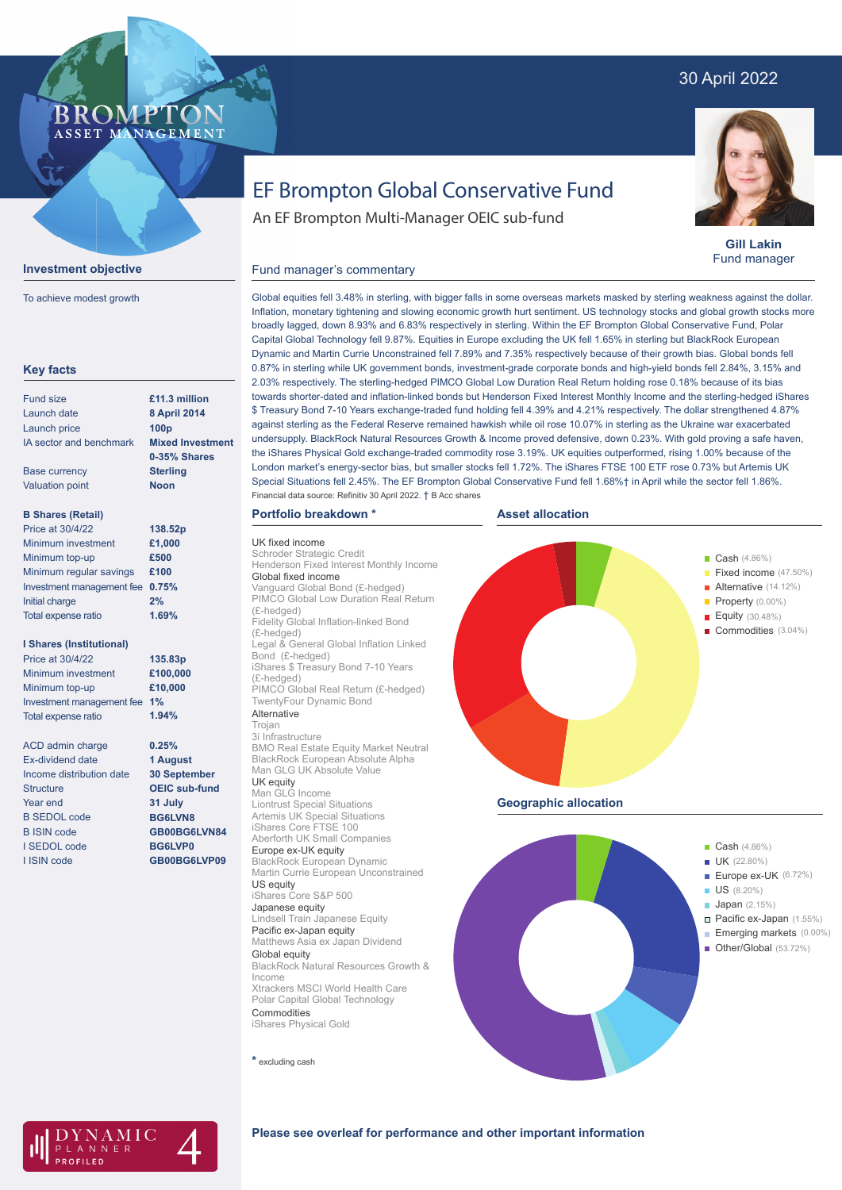## 30 April 2022



**Gill Lakin** Fund manager

# EF Brompton Global Conservative Fund

An EF Brompton Multi-Manager OEIC sub-fund

#### **Investment objective**

**BROMPTO** ASSET MANAGEMENT

To achieve modest growth

| <b>Key facts</b>                |                         |
|---------------------------------|-------------------------|
| <b>Fund size</b>                | £11.3 million           |
| Launch date                     | 8 April 2014            |
| <b>Launch price</b>             | 100 <sub>p</sub>        |
| IA sector and benchmark         | <b>Mixed Investment</b> |
|                                 | 0-35% Shares            |
| <b>Base currency</b>            | <b>Sterling</b>         |
| <b>Valuation point</b>          | <b>Noon</b>             |
| <b>B Shares (Retail)</b>        |                         |
| <b>Price at 30/4/22</b>         | 138.52p                 |
| Minimum investment              | £1,000                  |
| Minimum top-up                  | £500                    |
| Minimum regular savings         | £100                    |
| Investment management fee       | 0.75%                   |
| Initial charge                  | 2%                      |
| Total expense ratio             | 1.69%                   |
| <b>I Shares (Institutional)</b> |                         |
| Price at 30/4/22                | 135.83p                 |
| Minimum investment              | £100,000                |
| Minimum top-up                  | £10,000                 |
| Investment management fee       | 1%                      |
| <b>Total expense ratio</b>      | 1.94%                   |
| <b>ACD</b> admin charge         | 0.25%                   |
| <b>Ex-dividend date</b>         | 1 August                |
| Income distribution date        | 30 September            |
| Structure                       | <b>OEIC sub-fund</b>    |
| Year end                        | 31 July                 |
| <b>B SEDOL code</b>             | BG6LVN8                 |
| <b>B ISIN code</b>              | GB00BG6LVN84            |
| I SEDOL code                    | <b>BG6LVP0</b>          |
| I ISIN code                     | GB00BG6LVP09            |
|                                 |                         |

#### Global equities fell 3.48% in sterling, with bigger falls in some overseas markets masked by sterling weakness against the dollar. Inflation, monetary tightening and slowing economic growth hurt sentiment. US technology stocks and global growth stocks more broadly lagged, down 8.93% and 6.83% respectively in sterling. Within the EF Brompton Global Conservative Fund, Polar Capital Global Technology fell 9.87%. Equities in Europe excluding the UK fell 1.65% in sterling but BlackRock European Dynamic and Martin Currie Unconstrained fell 7.89% and 7.35% respectively because of their growth bias. Global bonds fell 0.87% in sterling while UK government bonds, investment-grade corporate bonds and high-yield bonds fell 2.84%, 3.15% and 2.03% respectively. The sterling-hedged PIMCO Global Low Duration Real Return holding rose 0.18% because of its bias towards shorter-dated and inflation-linked bonds but Henderson Fixed Interest Monthly Income and the sterling-hedged iShares \$ Treasury Bond 7-10 Years exchange-traded fund holding fell 4.39% and 4.21% respectively. The dollar strengthened 4.87% against sterling as the Federal Reserve remained hawkish while oil rose 10.07% in sterling as the Ukraine war exacerbated undersupply. BlackRock Natural Resources Growth & Income proved defensive, down 0.23%. With gold proving a safe haven, the iShares Physical Gold exchange-traded commodity rose 3.19%. UK equities outperformed, rising 1.00% because of the London market's energy-sector bias, but smaller stocks fell 1.72%. The iShares FTSE 100 ETF rose 0.73% but Artemis UK Special Situations fell 2.45%. The EF Brompton Global Conservative Fund fell 1.68%† in April while the sector fell 1.86%. Financial data source: Refinitiv 30 April 2022. † B Acc shares

### **Portfolio breakdown \***

Fund manager's commentary

UK fixed income Schroder Strategic Credit Henderson Fixed Interest Monthly Income Global fixed income Vanguard Global Bond (£-hedged) PIMCO Global Low Duration Real Return (£-hedged) Fidelity Global Inflation-linked Bond (£-hedged) Legal & General Global Inflation Linked Bond (£-hedged) iShares \$ Treasury Bond 7-10 Years (£-hedged) PIMCO Global Real Return (£-hedged) TwentyFour Dynamic Bond Alternative Trojan 3i Infrastructure BMO Real Estate Equity Market Neutral BlackRock European Absolute Alpha Man GLG UK Absolute Value UK equity Man GLG Income Liontrust Special Situations Artemis UK Special Situations iShares Core FTSE 100 Aberforth UK Small Companies Europe ex-UK equity BlackRock European Dynamic Martin Currie European Unconstrained US equity iShares Core S&P 500 Japanese equity Lindsell Train Japanese Equity Pacific ex-Japan equity Matthews Asia ex Japan Dividend Global equity BlackRock Natural Resources Growth & Income Xtrackers MSCI World Health Care Polar Capital Global Technology

**\*** excluding cash

**Commodities** iShares Physical Gold







#### **Please see overleaf for performance and other important information**